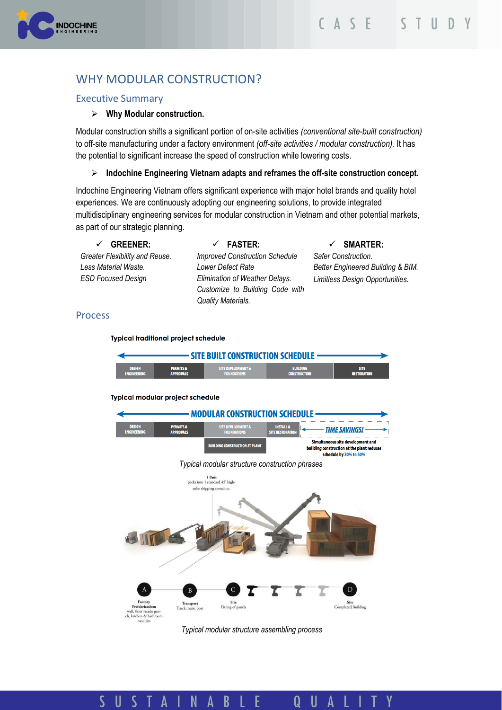

# WHY MODULAR CONSTRUCTION?

# Executive Summary

### ➢ **Why Modular construction.**

Modular construction shifts a significant portion of on-site activities *(conventional site-built construction)*  to off-site manufacturing under a factory environment *(off-site activities / modular construction).* It has the potential to significant increase the speed of construction while lowering costs.

### ➢ **Indochine Engineering Vietnam adapts and reframes the off-site construction concept.**

Indochine Engineering Vietnam offers significant experience with major hotel brands and quality hotel experiences. We are continuously adopting our engineering solutions, to provide integrated multidisciplinary engineering services for modular construction in Vietnam and other potential markets, as part of our strategic planning.

| <b>GREENER:</b><br>$\checkmark$ | $\checkmark$ FASTER:                                                                    | $\checkmark$ SMARTER:             |
|---------------------------------|-----------------------------------------------------------------------------------------|-----------------------------------|
| Greater Flexibility and Reuse.  | <b>Improved Construction Schedule</b>                                                   | <b>Safer Construction.</b>        |
| Less Material Waste.            | Lower Defect Rate                                                                       | Better Engineered Building & BIM. |
| <b>ESD Focused Design</b>       | Elimination of Weather Delays.<br>Customize to Building Code with<br>Quality Materials. | Limitless Design Opportunities.   |
|                                 |                                                                                         |                                   |

### Process

#### **Typical traditional project schedule**

all, floor facade pan<br>, kitchen & bathroo



*Typical modular structure assembling process*

#### $\overline{\mathsf{S}}$ S T A N  $\overline{B}$ Y  $\mathsf{U}$ E U A Q A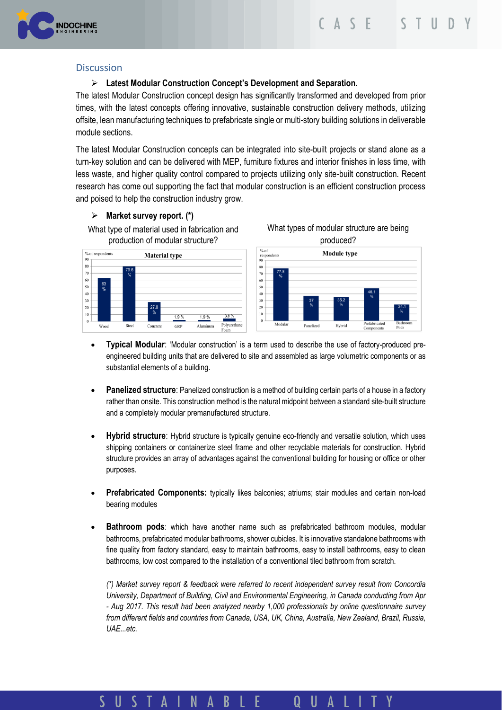

# **Discussion**

# ➢ **Latest Modular Construction Concept's Development and Separation.**

The latest Modular Construction concept design has significantly transformed and developed from prior times, with the latest concepts offering innovative, sustainable construction delivery methods, utilizing offsite, lean manufacturing techniques to prefabricate single or multi-story building solutions in deliverable module sections.

The latest Modular Construction concepts can be integrated into site-built projects or stand alone as a turn-key solution and can be delivered with MEP, furniture fixtures and interior finishes in less time, with less waste, and higher quality control compared to projects utilizing only site-built construction. Recent research has come out supporting the fact that modular construction is an efficient construction process and poised to help the construction industry grow.

## ➢ **Market survey report. (\*)**

What type of material used in fabrication and production of modular structure?



What types of modular structure are being produced?



- **Typical Modular**: 'Modular construction' is a term used to describe the use of factory-produced preengineered building units that are delivered to site and assembled as large volumetric components or as substantial elements of a building.
- **Panelized structure**: Panelized construction is a method of building certain parts of a house in a factory rather than onsite. This construction method is the natural midpoint between a standard site-built structure and a completely modular premanufactured structure.
- **Hybrid structure**: Hybrid structure is typically genuine eco-friendly and versatile solution, which uses shipping containers or containerize steel frame and other recyclable materials for construction. Hybrid structure provides an array of advantages against the conventional building for housing or office or other purposes.
- **Prefabricated Components:** typically likes balconies; atriums; stair modules and certain non-load bearing modules
- **Bathroom pods**: which have another name such as prefabricated bathroom modules, modular bathrooms, prefabricated modular bathrooms, shower cubicles. It is innovative standalone bathrooms with fine quality from factory standard, easy to maintain bathrooms, easy to install bathrooms, easy to clean bathrooms, low cost compared to the installation of a conventional tiled bathroom from scratch.

*(\*) Market survey report & feedback were referred to recent independent survey result from Concordia University, Department of Building, Civil and Environmental Engineering, in Canada conducting from Apr - Aug 2017. This result had been analyzed nearby 1,000 professionals by online questionnaire survey from different fields and countries from Canada, USA, UK, China, Australia, New Zealand, Brazil, Russia, UAE...etc.*

#### $\mathbf{A}$ N ς  $\mathsf{U}$  $S$  T A B E  $\mathsf{U}$ Q A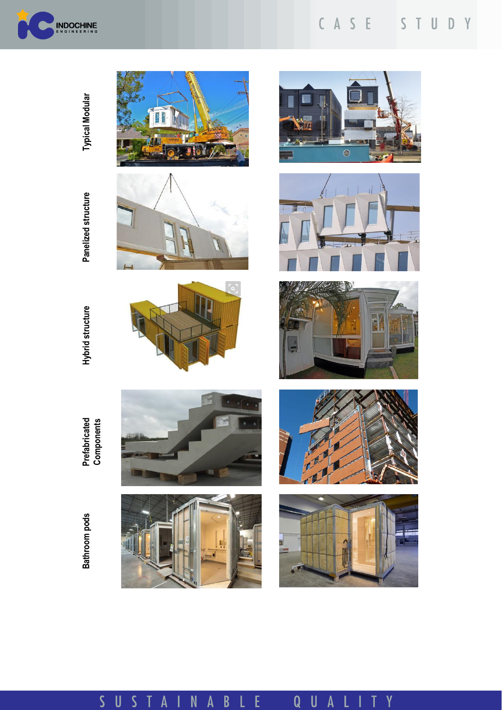

#### C A S E STUDY

**Typical Modular Typical Modular**

> Panelized structure **Panelized structure Hybrid structure Prefabricated**





 $3.919$ 











Bathroom pods **Bathroom pods**

**Components**

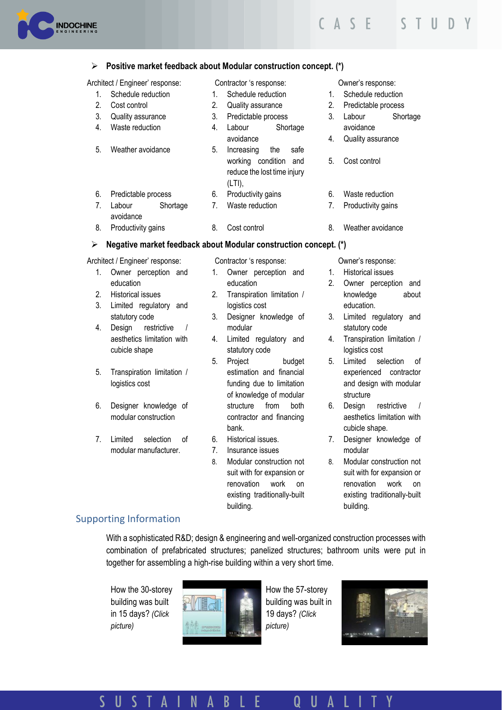

#### ➢ **Positive market feedback about Modular construction concept. (\*)**

Architect / Engineer' response: Contractor 's response:

- 1. Schedule reduction
- 2. Cost control
- 3. Quality assurance 4. Waste reduction
- 
- 5. Weather avoidance
- 
- 6. Predictable process
- 7. Labour Shortage 6. Productivity gains 7. Waste reduction
- avoidance 8. Productivity gains 8. Cost control

### ➢ **Negative market feedback about Modular construction concept. (\*)**

#### Architect / Engineer' response:

- 1. Owner perception and education
- 2. Historical issues
- 3. Limited regulatory and statutory code
- 4. Design restrictive / aesthetics limitation with cubicle shape
- 5. Transpiration limitation / logistics cost
- 6. Designer knowledge of modular construction
- 7. Limited selection of modular manufacturer.

Contractor 's response:

- 1. Owner perception and education
- 2. Transpiration limitation / logistics cost
- 3. Designer knowledge of modular
- 4. Limited regulatory and statutory code
- 5. Project budget estimation and financial funding due to limitation of knowledge of modular structure from both contractor and financing bank.
- 6. Historical issues.
- 7. Insurance issues
- 8. Modular construction not suit with for expansion or renovation work on existing traditionally-built building.

Owner's response:

8. Weather avoidance

Owner's response: 1. Schedule reduction 2. Predictable process 3. Labour Shortage

avoidance 4. Quality assurance

5. Cost control

6. Waste reduction 7. Productivity gains

- 1. Historical issues
- 2. Owner perception and knowledge about education.
- 3. Limited regulatory and statutory code
- 4. Transpiration limitation / logistics cost
- 5. Limited selection of experienced contractor and design with modular structure
- 6. Design restrictive / aesthetics limitation with cubicle shape.
- 7. Designer knowledge of modular
- 8. Modular construction not suit with for expansion or renovation work on existing traditionally-built building.

# Supporting Information

With a sophisticated R&D; design & engineering and well-organized construction processes with combination of prefabricated structures; panelized structures; bathroom units were put in together for assembling a high-rise building within a very short time.

How the 30-storey building was built in 15 days? *(Click picture)*



[H](https://www.youtube.com/watch?v=Hdpf-MQM9vY)ow the 57-storey building was built in 19 days? *(Click picture)*



#### S U  $\mathsf{S}$ E A N Α B U A Q

1. Schedule reduction 2. Quality assurance 3. Predictable process 4. Labour Shortage

avoidance

(LTI),

5. Increasing the safe working condition and reduce the lost time injury